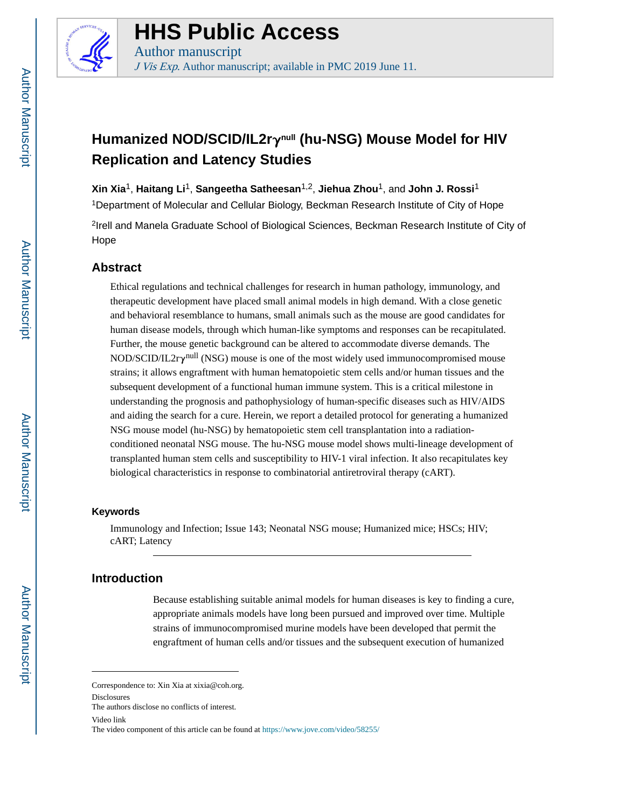

# **HHS Public Access**

Author manuscript J Vis Exp. Author manuscript; available in PMC 2019 June 11.

## **Humanized NOD/SCID/IL2r**γ**null (hu-NSG) Mouse Model for HIV Replication and Latency Studies**

**Xin Xia**1, **Haitang Li**1, **Sangeetha Satheesan**1,2, **Jiehua Zhou**1, and **John J. Rossi**<sup>1</sup>

<sup>1</sup>Department of Molecular and Cellular Biology, Beckman Research Institute of City of Hope

<sup>2</sup>Irell and Manela Graduate School of Biological Sciences, Beckman Research Institute of City of Hope

## **Abstract**

Ethical regulations and technical challenges for research in human pathology, immunology, and therapeutic development have placed small animal models in high demand. With a close genetic and behavioral resemblance to humans, small animals such as the mouse are good candidates for human disease models, through which human-like symptoms and responses can be recapitulated. Further, the mouse genetic background can be altered to accommodate diverse demands. The  $NOD/SCID/IL2r\gamma^{null}$  (NSG) mouse is one of the most widely used immunocompromised mouse strains; it allows engraftment with human hematopoietic stem cells and/or human tissues and the subsequent development of a functional human immune system. This is a critical milestone in understanding the prognosis and pathophysiology of human-specific diseases such as HIV/AIDS and aiding the search for a cure. Herein, we report a detailed protocol for generating a humanized NSG mouse model (hu-NSG) by hematopoietic stem cell transplantation into a radiationconditioned neonatal NSG mouse. The hu-NSG mouse model shows multi-lineage development of transplanted human stem cells and susceptibility to HIV-1 viral infection. It also recapitulates key biological characteristics in response to combinatorial antiretroviral therapy (cART).

### **Keywords**

Immunology and Infection; Issue 143; Neonatal NSG mouse; Humanized mice; HSCs; HIV; cART; Latency

## **Introduction**

Because establishing suitable animal models for human diseases is key to finding a cure, appropriate animals models have long been pursued and improved over time. Multiple strains of immunocompromised murine models have been developed that permit the engraftment of human cells and/or tissues and the subsequent execution of humanized

Correspondence to: Xin Xia at xixia@coh.org.

Disclosures

The authors disclose no conflicts of interest.

Video link

The video component of this article can be found at<https://www.jove.com/video/58255/>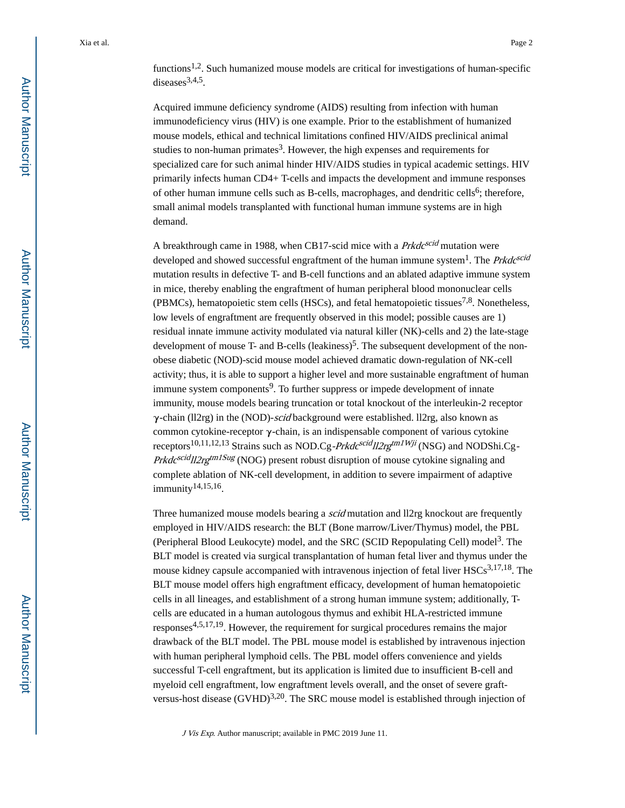Acquired immune deficiency syndrome (AIDS) resulting from infection with human immunodeficiency virus (HIV) is one example. Prior to the establishment of humanized mouse models, ethical and technical limitations confined HIV/AIDS preclinical animal studies to non-human primates<sup>3</sup>. However, the high expenses and requirements for specialized care for such animal hinder HIV/AIDS studies in typical academic settings. HIV primarily infects human CD4+ T-cells and impacts the development and immune responses of other human immune cells such as B-cells, macrophages, and dendritic cells<sup>6</sup>; therefore, small animal models transplanted with functional human immune systems are in high demand.

A breakthrough came in 1988, when CB17-scid mice with a *Prkdc<sup>scid</sup>* mutation were developed and showed successful engraftment of the human immune system<sup>1</sup>. The *Prkdc<sup>scid</sup>* mutation results in defective T- and B-cell functions and an ablated adaptive immune system in mice, thereby enabling the engraftment of human peripheral blood mononuclear cells (PBMCs), hematopoietic stem cells (HSCs), and fetal hematopoietic tissues<sup>7,8</sup>. Nonetheless, low levels of engraftment are frequently observed in this model; possible causes are 1) residual innate immune activity modulated via natural killer (NK)-cells and 2) the late-stage development of mouse T- and B-cells (leakiness)<sup>5</sup>. The subsequent development of the nonobese diabetic (NOD)-scid mouse model achieved dramatic down-regulation of NK-cell activity; thus, it is able to support a higher level and more sustainable engraftment of human immune system components<sup>9</sup>. To further suppress or impede development of innate immunity, mouse models bearing truncation or total knockout of the interleukin-2 receptor  $\gamma$ -chain (ll2rg) in the (NOD)-*scid* background were established. ll2rg, also known as common cytokine-receptor γ-chain, is an indispensable component of various cytokine receptors<sup>10,11,12,13</sup> Strains such as NOD.Cg-*Prkdc<sup>scid</sup>ll2rg<sup>tm1Wji</sup>* (NSG) and NODShi.Cg-Prkdc<sup>scid</sup>II2rg<sup>tm1Sug</sup> (NOG) present robust disruption of mouse cytokine signaling and complete ablation of NK-cell development, in addition to severe impairment of adaptive immunity14,15,16 .

Three humanized mouse models bearing a *scid* mutation and ll2rg knockout are frequently employed in HIV/AIDS research: the BLT (Bone marrow/Liver/Thymus) model, the PBL (Peripheral Blood Leukocyte) model, and the SRC (SCID Repopulating Cell) model<sup>3</sup>. The BLT model is created via surgical transplantation of human fetal liver and thymus under the mouse kidney capsule accompanied with intravenous injection of fetal liver  $HSCs<sup>3,17,18</sup>$ . The BLT mouse model offers high engraftment efficacy, development of human hematopoietic cells in all lineages, and establishment of a strong human immune system; additionally, Tcells are educated in a human autologous thymus and exhibit HLA-restricted immune responses4,5,17,19. However, the requirement for surgical procedures remains the major drawback of the BLT model. The PBL mouse model is established by intravenous injection with human peripheral lymphoid cells. The PBL model offers convenience and yields successful T-cell engraftment, but its application is limited due to insufficient B-cell and myeloid cell engraftment, low engraftment levels overall, and the onset of severe graftversus-host disease  $(GVHD)^{3,20}$ . The SRC mouse model is established through injection of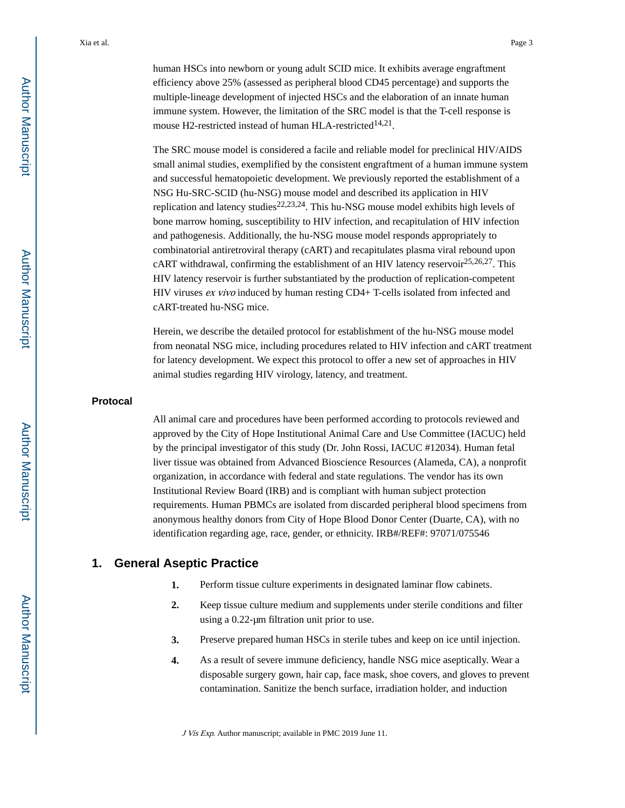human HSCs into newborn or young adult SCID mice. It exhibits average engraftment efficiency above 25% (assessed as peripheral blood CD45 percentage) and supports the multiple-lineage development of injected HSCs and the elaboration of an innate human immune system. However, the limitation of the SRC model is that the T-cell response is mouse H2-restricted instead of human HLA-restricted<sup>14,21</sup>.

The SRC mouse model is considered a facile and reliable model for preclinical HIV/AIDS small animal studies, exemplified by the consistent engraftment of a human immune system and successful hematopoietic development. We previously reported the establishment of a NSG Hu-SRC-SCID (hu-NSG) mouse model and described its application in HIV replication and latency studies<sup>22,23,24</sup>. This hu-NSG mouse model exhibits high levels of bone marrow homing, susceptibility to HIV infection, and recapitulation of HIV infection and pathogenesis. Additionally, the hu-NSG mouse model responds appropriately to combinatorial antiretroviral therapy (cART) and recapitulates plasma viral rebound upon cART withdrawal, confirming the establishment of an HIV latency reservoir<sup>25,26,27</sup>. This HIV latency reservoir is further substantiated by the production of replication-competent HIV viruses ex vivo induced by human resting CD4+ T-cells isolated from infected and cART-treated hu-NSG mice.

Herein, we describe the detailed protocol for establishment of the hu-NSG mouse model from neonatal NSG mice, including procedures related to HIV infection and cART treatment for latency development. We expect this protocol to offer a new set of approaches in HIV animal studies regarding HIV virology, latency, and treatment.

#### **Protocal**

All animal care and procedures have been performed according to protocols reviewed and approved by the City of Hope Institutional Animal Care and Use Committee (IACUC) held by the principal investigator of this study (Dr. John Rossi, IACUC #12034). Human fetal liver tissue was obtained from Advanced Bioscience Resources (Alameda, CA), a nonprofit organization, in accordance with federal and state regulations. The vendor has its own Institutional Review Board (IRB) and is compliant with human subject protection requirements. Human PBMCs are isolated from discarded peripheral blood specimens from anonymous healthy donors from City of Hope Blood Donor Center (Duarte, CA), with no identification regarding age, race, gender, or ethnicity. IRB#/REF#: 97071/075546

#### **1. General Aseptic Practice**

- **1.** Perform tissue culture experiments in designated laminar flow cabinets.
- **2.** Keep tissue culture medium and supplements under sterile conditions and filter using a 0.22-μm filtration unit prior to use.
- **3.** Preserve prepared human HSCs in sterile tubes and keep on ice until injection.
- **4.** As a result of severe immune deficiency, handle NSG mice aseptically. Wear a disposable surgery gown, hair cap, face mask, shoe covers, and gloves to prevent contamination. Sanitize the bench surface, irradiation holder, and induction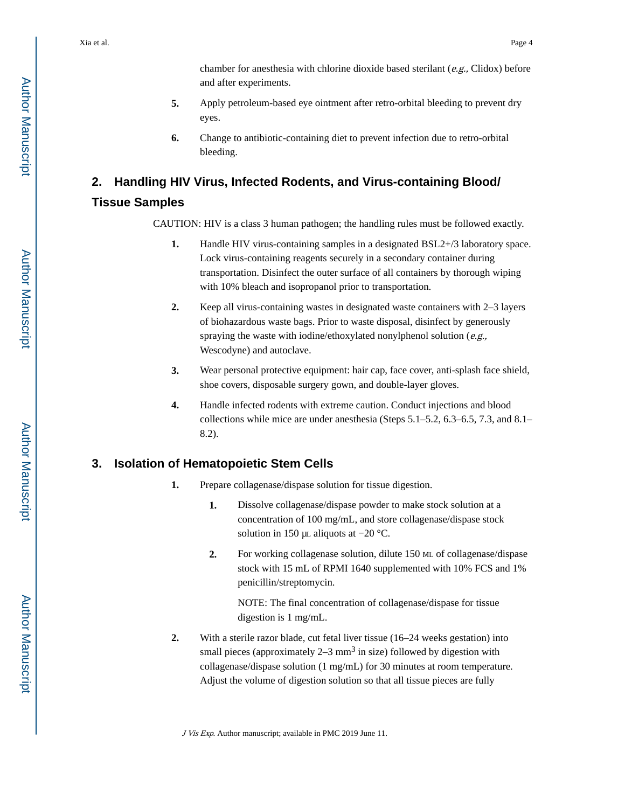chamber for anesthesia with chlorine dioxide based sterilant ( $e.g.,$  Clidox) before and after experiments.

- **5.** Apply petroleum-based eye ointment after retro-orbital bleeding to prevent dry eyes.
- **6.** Change to antibiotic-containing diet to prevent infection due to retro-orbital bleeding.

## **2. Handling HIV Virus, Infected Rodents, and Virus-containing Blood/ Tissue Samples**

CAUTION: HIV is a class 3 human pathogen; the handling rules must be followed exactly.

- **1.** Handle HIV virus-containing samples in a designated BSL2+/3 laboratory space. Lock virus-containing reagents securely in a secondary container during transportation. Disinfect the outer surface of all containers by thorough wiping with 10% bleach and isopropanol prior to transportation.
- **2.** Keep all virus-containing wastes in designated waste containers with 2–3 layers of biohazardous waste bags. Prior to waste disposal, disinfect by generously spraying the waste with iodine/ethoxylated nonylphenol solution (e.g., Wescodyne) and autoclave.
- **3.** Wear personal protective equipment: hair cap, face cover, anti-splash face shield, shoe covers, disposable surgery gown, and double-layer gloves.
- **4.** Handle infected rodents with extreme caution. Conduct injections and blood collections while mice are under anesthesia (Steps 5.1–5.2, 6.3–6.5, 7.3, and 8.1– 8.2).

## **3. Isolation of Hematopoietic Stem Cells**

- **1.** Prepare collagenase/dispase solution for tissue digestion.
	- **1.** Dissolve collagenase/dispase powder to make stock solution at a concentration of 100 mg/mL, and store collagenase/dispase stock solution in 150 μL aliquots at −20 °C.
	- **2.** For working collagenase solution, dilute 150 Μ<sup>L</sup> of collagenase/dispase stock with 15 mL of RPMI 1640 supplemented with 10% FCS and 1% penicillin/streptomycin.

NOTE: The final concentration of collagenase/dispase for tissue digestion is 1 mg/mL.

**2.** With a sterile razor blade, cut fetal liver tissue (16–24 weeks gestation) into small pieces (approximately  $2-3$  mm<sup>3</sup> in size) followed by digestion with collagenase/dispase solution (1 mg/mL) for 30 minutes at room temperature. Adjust the volume of digestion solution so that all tissue pieces are fully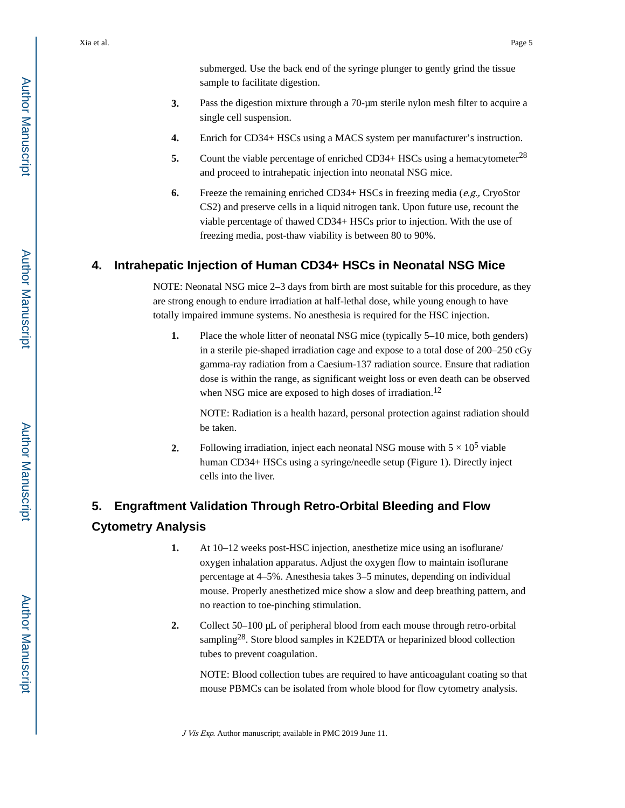- **3.** Pass the digestion mixture through a 70-μm sterile nylon mesh filter to acquire a single cell suspension.
- **4.** Enrich for CD34+ HSCs using a MACS system per manufacturer's instruction.
- **5.** Count the viable percentage of enriched CD34+ HSCs using a hemacytometer<sup>28</sup> and proceed to intrahepatic injection into neonatal NSG mice.
- **6.** Freeze the remaining enriched CD34+ HSCs in freezing media (e.g., CryoStor CS2) and preserve cells in a liquid nitrogen tank. Upon future use, recount the viable percentage of thawed CD34+ HSCs prior to injection. With the use of freezing media, post-thaw viability is between 80 to 90%.

## **4. Intrahepatic Injection of Human CD34+ HSCs in Neonatal NSG Mice**

NOTE: Neonatal NSG mice 2–3 days from birth are most suitable for this procedure, as they are strong enough to endure irradiation at half-lethal dose, while young enough to have totally impaired immune systems. No anesthesia is required for the HSC injection.

**1.** Place the whole litter of neonatal NSG mice (typically 5–10 mice, both genders) in a sterile pie-shaped irradiation cage and expose to a total dose of 200–250 cGy gamma-ray radiation from a Caesium-137 radiation source. Ensure that radiation dose is within the range, as significant weight loss or even death can be observed when NSG mice are exposed to high doses of irradiation.<sup>12</sup>

NOTE: Radiation is a health hazard, personal protection against radiation should be taken.

**2.** Following irradiation, inject each neonatal NSG mouse with  $5 \times 10^5$  viable human CD34+ HSCs using a syringe/needle setup (Figure 1). Directly inject cells into the liver.

## **5. Engraftment Validation Through Retro-Orbital Bleeding and Flow Cytometry Analysis**

- **1.** At 10–12 weeks post-HSC injection, anesthetize mice using an isoflurane/ oxygen inhalation apparatus. Adjust the oxygen flow to maintain isoflurane percentage at 4–5%. Anesthesia takes 3–5 minutes, depending on individual mouse. Properly anesthetized mice show a slow and deep breathing pattern, and no reaction to toe-pinching stimulation.
- **2.** Collect 50–100 μL of peripheral blood from each mouse through retro-orbital sampling<sup>28</sup>. Store blood samples in K2EDTA or heparinized blood collection tubes to prevent coagulation.

NOTE: Blood collection tubes are required to have anticoagulant coating so that mouse PBMCs can be isolated from whole blood for flow cytometry analysis.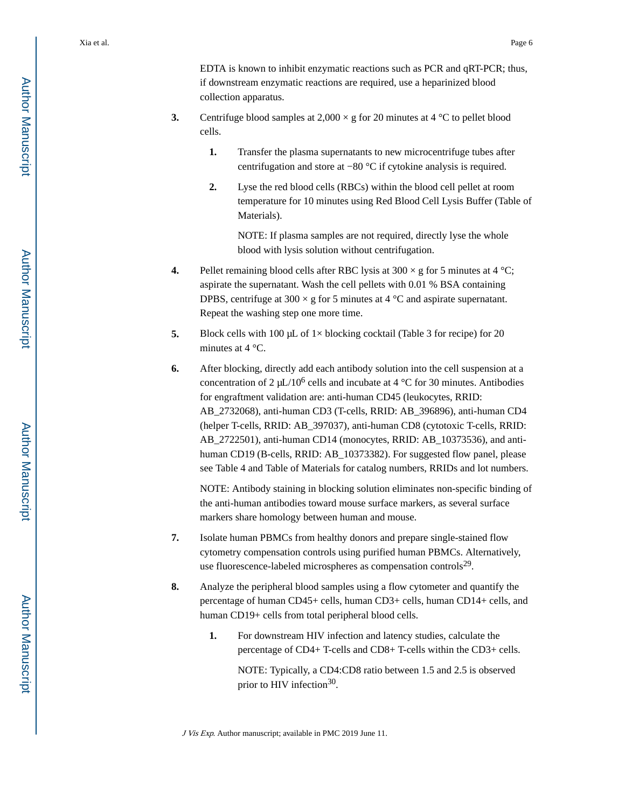EDTA is known to inhibit enzymatic reactions such as PCR and qRT-PCR; thus, if downstream enzymatic reactions are required, use a heparinized blood collection apparatus.

- **3.** Centrifuge blood samples at  $2,000 \times g$  for 20 minutes at 4 °C to pellet blood cells.
	- **1.** Transfer the plasma supernatants to new microcentrifuge tubes after centrifugation and store at −80 °C if cytokine analysis is required.
	- **2.** Lyse the red blood cells (RBCs) within the blood cell pellet at room temperature for 10 minutes using Red Blood Cell Lysis Buffer (Table of Materials).

NOTE: If plasma samples are not required, directly lyse the whole blood with lysis solution without centrifugation.

- **4.** Pellet remaining blood cells after RBC lysis at  $300 \times g$  for 5 minutes at 4 °C; aspirate the supernatant. Wash the cell pellets with 0.01 % BSA containing DPBS, centrifuge at  $300 \times g$  for 5 minutes at 4 °C and aspirate supernatant. Repeat the washing step one more time.
- **5.** Block cells with 100 μL of 1× blocking cocktail (Table 3 for recipe) for 20 minutes at 4 °C.
- **6.** After blocking, directly add each antibody solution into the cell suspension at a concentration of  $2 \mu L/10^6$  cells and incubate at 4 °C for 30 minutes. Antibodies for engraftment validation are: anti-human CD45 (leukocytes, RRID: AB\_2732068), anti-human CD3 (T-cells, RRID: AB\_396896), anti-human CD4 (helper T-cells, RRID: AB\_397037), anti-human CD8 (cytotoxic T-cells, RRID: AB\_2722501), anti-human CD14 (monocytes, RRID: AB\_10373536), and antihuman CD19 (B-cells, RRID: AB\_10373382). For suggested flow panel, please see Table 4 and Table of Materials for catalog numbers, RRIDs and lot numbers.

NOTE: Antibody staining in blocking solution eliminates non-specific binding of the anti-human antibodies toward mouse surface markers, as several surface markers share homology between human and mouse.

- **7.** Isolate human PBMCs from healthy donors and prepare single-stained flow cytometry compensation controls using purified human PBMCs. Alternatively, use fluorescence-labeled microspheres as compensation controls<sup>29</sup>.
- **8.** Analyze the peripheral blood samples using a flow cytometer and quantify the percentage of human CD45+ cells, human CD3+ cells, human CD14+ cells, and human CD19+ cells from total peripheral blood cells.
	- **1.** For downstream HIV infection and latency studies, calculate the percentage of CD4+ T-cells and CD8+ T-cells within the CD3+ cells.

NOTE: Typically, a CD4:CD8 ratio between 1.5 and 2.5 is observed prior to HIV infection<sup>30</sup>.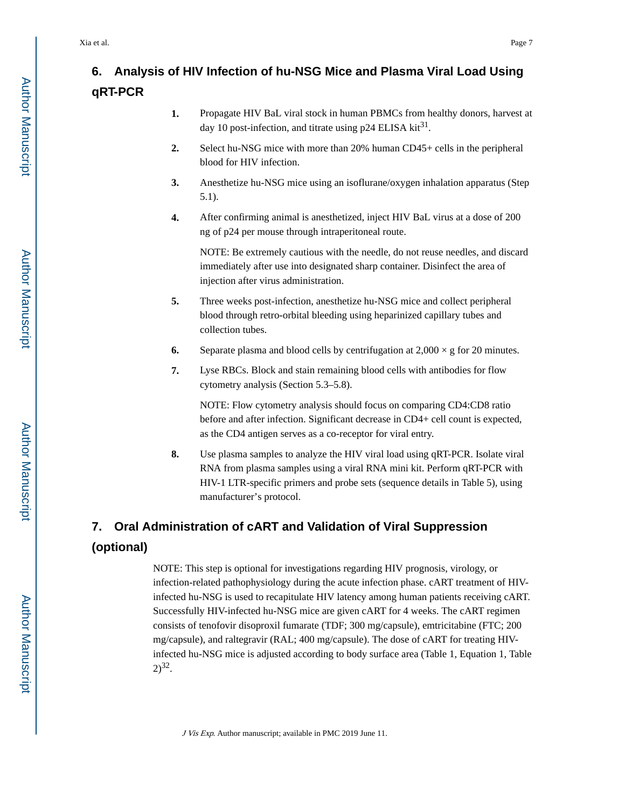## **6. Analysis of HIV Infection of hu-NSG Mice and Plasma Viral Load Using qRT-PCR**

- **1.** Propagate HIV BaL viral stock in human PBMCs from healthy donors, harvest at day 10 post-infection, and titrate using  $p24$  ELISA kit<sup>31</sup>.
- **2.** Select hu-NSG mice with more than 20% human CD45+ cells in the peripheral blood for HIV infection.
- **3.** Anesthetize hu-NSG mice using an isoflurane/oxygen inhalation apparatus (Step 5.1).
- **4.** After confirming animal is anesthetized, inject HIV BaL virus at a dose of 200 ng of p24 per mouse through intraperitoneal route.

NOTE: Be extremely cautious with the needle, do not reuse needles, and discard immediately after use into designated sharp container. Disinfect the area of injection after virus administration.

- **5.** Three weeks post-infection, anesthetize hu-NSG mice and collect peripheral blood through retro-orbital bleeding using heparinized capillary tubes and collection tubes.
- **6.** Separate plasma and blood cells by centrifugation at  $2,000 \times g$  for 20 minutes.
- **7.** Lyse RBCs. Block and stain remaining blood cells with antibodies for flow cytometry analysis (Section 5.3–5.8).

NOTE: Flow cytometry analysis should focus on comparing CD4:CD8 ratio before and after infection. Significant decrease in CD4+ cell count is expected, as the CD4 antigen serves as a co-receptor for viral entry.

**8.** Use plasma samples to analyze the HIV viral load using qRT-PCR. Isolate viral RNA from plasma samples using a viral RNA mini kit. Perform qRT-PCR with HIV-1 LTR-specific primers and probe sets (sequence details in Table 5), using manufacturer's protocol.

### **7. Oral Administration of cART and Validation of Viral Suppression**

## **(optional)**

NOTE: This step is optional for investigations regarding HIV prognosis, virology, or infection-related pathophysiology during the acute infection phase. cART treatment of HIVinfected hu-NSG is used to recapitulate HIV latency among human patients receiving cART. Successfully HIV-infected hu-NSG mice are given cART for 4 weeks. The cART regimen consists of tenofovir disoproxil fumarate (TDF; 300 mg/capsule), emtricitabine (FTC; 200 mg/capsule), and raltegravir (RAL; 400 mg/capsule). The dose of cART for treating HIVinfected hu-NSG mice is adjusted according to body surface area (Table 1, Equation 1, Table  $2)^{32}$ .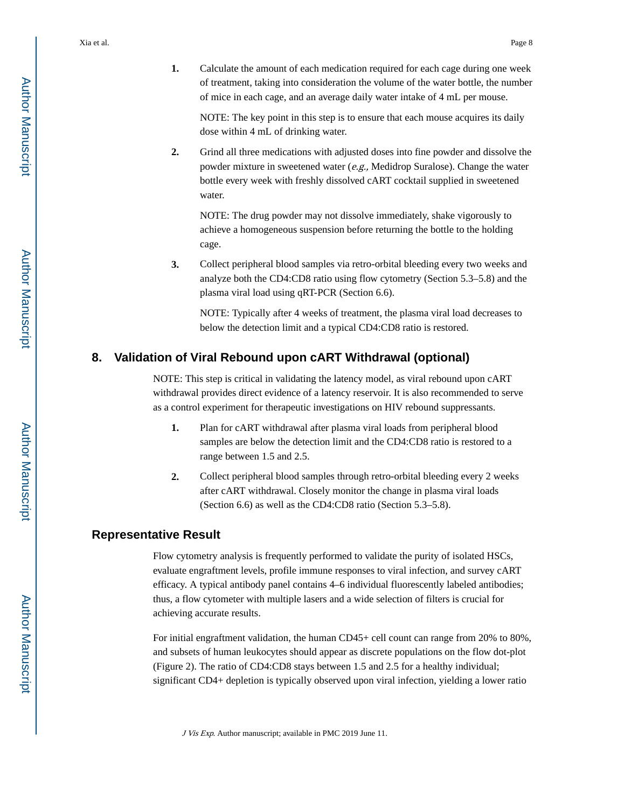**1.** Calculate the amount of each medication required for each cage during one week of treatment, taking into consideration the volume of the water bottle, the number of mice in each cage, and an average daily water intake of 4 mL per mouse.

NOTE: The key point in this step is to ensure that each mouse acquires its daily dose within 4 mL of drinking water.

**2.** Grind all three medications with adjusted doses into fine powder and dissolve the powder mixture in sweetened water (e.g., Medidrop Suralose). Change the water bottle every week with freshly dissolved cART cocktail supplied in sweetened water.

NOTE: The drug powder may not dissolve immediately, shake vigorously to achieve a homogeneous suspension before returning the bottle to the holding cage.

**3.** Collect peripheral blood samples via retro-orbital bleeding every two weeks and analyze both the CD4:CD8 ratio using flow cytometry (Section 5.3–5.8) and the plasma viral load using qRT-PCR (Section 6.6).

NOTE: Typically after 4 weeks of treatment, the plasma viral load decreases to below the detection limit and a typical CD4:CD8 ratio is restored.

### **8. Validation of Viral Rebound upon cART Withdrawal (optional)**

NOTE: This step is critical in validating the latency model, as viral rebound upon cART withdrawal provides direct evidence of a latency reservoir. It is also recommended to serve as a control experiment for therapeutic investigations on HIV rebound suppressants.

- **1.** Plan for cART withdrawal after plasma viral loads from peripheral blood samples are below the detection limit and the CD4:CD8 ratio is restored to a range between 1.5 and 2.5.
- **2.** Collect peripheral blood samples through retro-orbital bleeding every 2 weeks after cART withdrawal. Closely monitor the change in plasma viral loads (Section 6.6) as well as the CD4:CD8 ratio (Section 5.3–5.8).

### **Representative Result**

Flow cytometry analysis is frequently performed to validate the purity of isolated HSCs, evaluate engraftment levels, profile immune responses to viral infection, and survey cART efficacy. A typical antibody panel contains 4–6 individual fluorescently labeled antibodies; thus, a flow cytometer with multiple lasers and a wide selection of filters is crucial for achieving accurate results.

For initial engraftment validation, the human CD45+ cell count can range from 20% to 80%, and subsets of human leukocytes should appear as discrete populations on the flow dot-plot (Figure 2). The ratio of CD4:CD8 stays between 1.5 and 2.5 for a healthy individual; significant CD4+ depletion is typically observed upon viral infection, yielding a lower ratio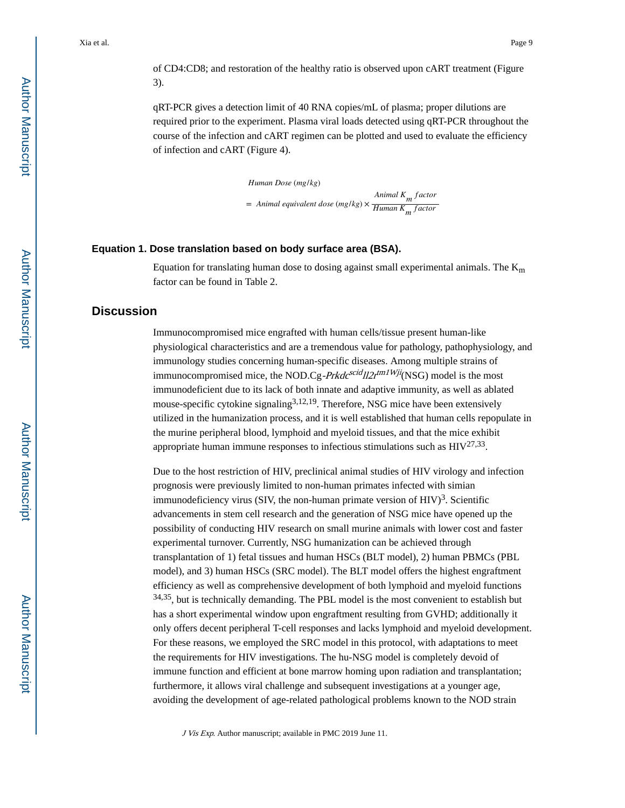of CD4:CD8; and restoration of the healthy ratio is observed upon cART treatment (Figure 3).

qRT-PCR gives a detection limit of 40 RNA copies/mL of plasma; proper dilutions are required prior to the experiment. Plasma viral loads detected using qRT-PCR throughout the course of the infection and cART regimen can be plotted and used to evaluate the efficiency of infection and cART (Figure 4).

> *Human Dose* (*mg*/*kg*) = *Animal equivalent dose* (*mg*/*kg*) × *Animal Km f actor Human Km f actor*

#### **Equation 1. Dose translation based on body surface area (BSA).**

Equation for translating human dose to dosing against small experimental animals. The  $K_m$ factor can be found in Table 2.

## **Discussion**

Immunocompromised mice engrafted with human cells/tissue present human-like physiological characteristics and are a tremendous value for pathology, pathophysiology, and immunology studies concerning human-specific diseases. Among multiple strains of immunocompromised mice, the NOD.Cg-*Prkdc<sup>scid</sup>II2r*<sup>tm1Wji</sup>(NSG) model is the most immunodeficient due to its lack of both innate and adaptive immunity, as well as ablated mouse-specific cytokine signaling<sup>3,12,19</sup>. Therefore, NSG mice have been extensively utilized in the humanization process, and it is well established that human cells repopulate in the murine peripheral blood, lymphoid and myeloid tissues, and that the mice exhibit appropriate human immune responses to infectious stimulations such as  $HIV^{27,33}$ .

Due to the host restriction of HIV, preclinical animal studies of HIV virology and infection prognosis were previously limited to non-human primates infected with simian immunodeficiency virus (SIV, the non-human primate version of  $HIV$ )<sup>3</sup>. Scientific advancements in stem cell research and the generation of NSG mice have opened up the possibility of conducting HIV research on small murine animals with lower cost and faster experimental turnover. Currently, NSG humanization can be achieved through transplantation of 1) fetal tissues and human HSCs (BLT model), 2) human PBMCs (PBL model), and 3) human HSCs (SRC model). The BLT model offers the highest engraftment efficiency as well as comprehensive development of both lymphoid and myeloid functions 34,35, but is technically demanding. The PBL model is the most convenient to establish but has a short experimental window upon engraftment resulting from GVHD; additionally it only offers decent peripheral T-cell responses and lacks lymphoid and myeloid development. For these reasons, we employed the SRC model in this protocol, with adaptations to meet the requirements for HIV investigations. The hu-NSG model is completely devoid of immune function and efficient at bone marrow homing upon radiation and transplantation; furthermore, it allows viral challenge and subsequent investigations at a younger age, avoiding the development of age-related pathological problems known to the NOD strain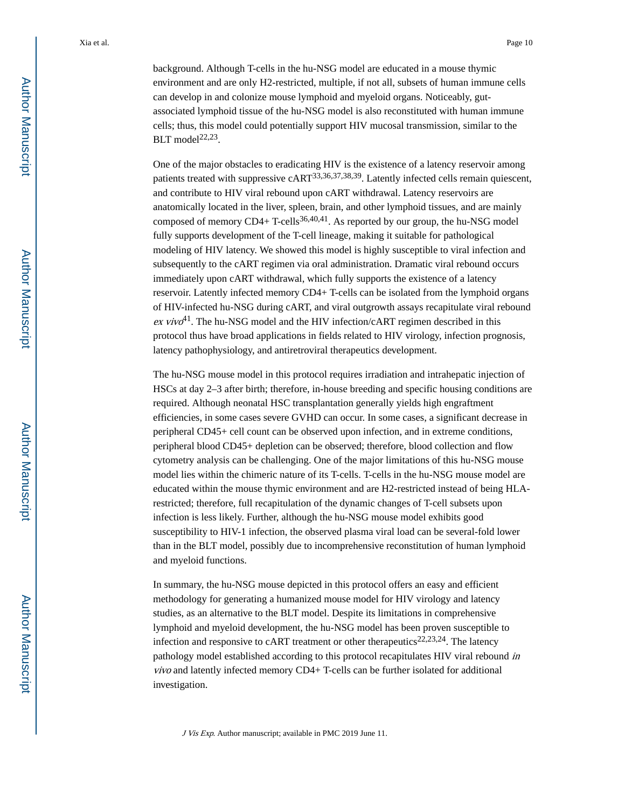background. Although T-cells in the hu-NSG model are educated in a mouse thymic environment and are only H2-restricted, multiple, if not all, subsets of human immune cells can develop in and colonize mouse lymphoid and myeloid organs. Noticeably, gutassociated lymphoid tissue of the hu-NSG model is also reconstituted with human immune cells; thus, this model could potentially support HIV mucosal transmission, similar to the BLT model $22,23$ .

One of the major obstacles to eradicating HIV is the existence of a latency reservoir among patients treated with suppressive cART<sup>33,36,37,38,39</sup>. Latently infected cells remain quiescent, and contribute to HIV viral rebound upon cART withdrawal. Latency reservoirs are anatomically located in the liver, spleen, brain, and other lymphoid tissues, and are mainly composed of memory  $CD4+T\text{-cells}^{36,40,41}$ . As reported by our group, the hu-NSG model fully supports development of the T-cell lineage, making it suitable for pathological modeling of HIV latency. We showed this model is highly susceptible to viral infection and subsequently to the cART regimen via oral administration. Dramatic viral rebound occurs immediately upon cART withdrawal, which fully supports the existence of a latency reservoir. Latently infected memory CD4+ T-cells can be isolated from the lymphoid organs of HIV-infected hu-NSG during cART, and viral outgrowth assays recapitulate viral rebound ex vivo<sup>41</sup>. The hu-NSG model and the HIV infection/cART regimen described in this protocol thus have broad applications in fields related to HIV virology, infection prognosis, latency pathophysiology, and antiretroviral therapeutics development.

The hu-NSG mouse model in this protocol requires irradiation and intrahepatic injection of HSCs at day 2–3 after birth; therefore, in-house breeding and specific housing conditions are required. Although neonatal HSC transplantation generally yields high engraftment efficiencies, in some cases severe GVHD can occur. In some cases, a significant decrease in peripheral CD45+ cell count can be observed upon infection, and in extreme conditions, peripheral blood CD45+ depletion can be observed; therefore, blood collection and flow cytometry analysis can be challenging. One of the major limitations of this hu-NSG mouse model lies within the chimeric nature of its T-cells. T-cells in the hu-NSG mouse model are educated within the mouse thymic environment and are H2-restricted instead of being HLArestricted; therefore, full recapitulation of the dynamic changes of T-cell subsets upon infection is less likely. Further, although the hu-NSG mouse model exhibits good susceptibility to HIV-1 infection, the observed plasma viral load can be several-fold lower than in the BLT model, possibly due to incomprehensive reconstitution of human lymphoid and myeloid functions.

In summary, the hu-NSG mouse depicted in this protocol offers an easy and efficient methodology for generating a humanized mouse model for HIV virology and latency studies, as an alternative to the BLT model. Despite its limitations in comprehensive lymphoid and myeloid development, the hu-NSG model has been proven susceptible to infection and responsive to cART treatment or other therapeutics<sup>22,23,24</sup>. The latency pathology model established according to this protocol recapitulates HIV viral rebound in vivo and latently infected memory CD4+ T-cells can be further isolated for additional investigation.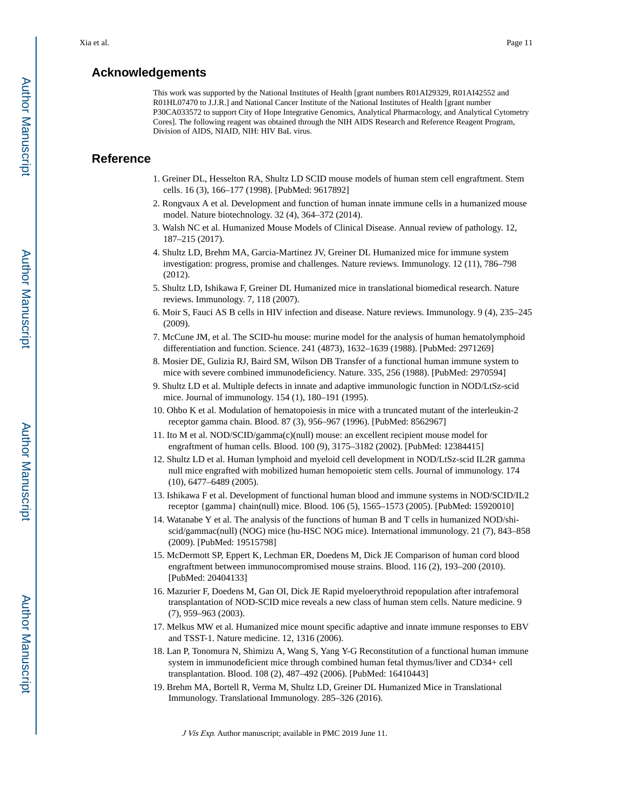### **Acknowledgements**

This work was supported by the National Institutes of Health [grant numbers R01AI29329, R01AI42552 and R01HL07470 to J.J.R.] and National Cancer Institute of the National Institutes of Health [grant number P30CA033572 to support City of Hope Integrative Genomics, Analytical Pharmacology, and Analytical Cytometry Cores]. The following reagent was obtained through the NIH AIDS Research and Reference Reagent Program, Division of AIDS, NIAID, NIH: HIV BaL virus.

## **Reference**

- 1. Greiner DL, Hesselton RA, Shultz LD SCID mouse models of human stem cell engraftment. Stem cells. 16 (3), 166–177 (1998). [PubMed: 9617892]
- 2. Rongvaux A et al. Development and function of human innate immune cells in a humanized mouse model. Nature biotechnology. 32 (4), 364–372 (2014).
- 3. Walsh NC et al. Humanized Mouse Models of Clinical Disease. Annual review of pathology. 12, 187–215 (2017).
- 4. Shultz LD, Brehm MA, Garcia-Martinez JV, Greiner DL Humanized mice for immune system investigation: progress, promise and challenges. Nature reviews. Immunology. 12 (11), 786–798 (2012).
- 5. Shultz LD, Ishikawa F, Greiner DL Humanized mice in translational biomedical research. Nature reviews. Immunology. 7, 118 (2007).
- 6. Moir S, Fauci AS B cells in HIV infection and disease. Nature reviews. Immunology. 9 (4), 235–245 (2009).
- 7. McCune JM, et al. The SCID-hu mouse: murine model for the analysis of human hematolymphoid differentiation and function. Science. 241 (4873), 1632–1639 (1988). [PubMed: 2971269]
- 8. Mosier DE, Gulizia RJ, Baird SM, Wilson DB Transfer of a functional human immune system to mice with severe combined immunodeficiency. Nature. 335, 256 (1988). [PubMed: 2970594]
- 9. Shultz LD et al. Multiple defects in innate and adaptive immunologic function in NOD/LtSz-scid mice. Journal of immunology. 154 (1), 180–191 (1995).
- 10. Ohbo K et al. Modulation of hematopoiesis in mice with a truncated mutant of the interleukin-2 receptor gamma chain. Blood. 87 (3), 956–967 (1996). [PubMed: 8562967]
- 11. Ito M et al. NOD/SCID/gamma(c)(null) mouse: an excellent recipient mouse model for engraftment of human cells. Blood. 100 (9), 3175–3182 (2002). [PubMed: 12384415]
- 12. Shultz LD et al. Human lymphoid and myeloid cell development in NOD/LtSz-scid IL2R gamma null mice engrafted with mobilized human hemopoietic stem cells. Journal of immunology. 174 (10), 6477–6489 (2005).
- 13. Ishikawa F et al. Development of functional human blood and immune systems in NOD/SCID/IL2 receptor {gamma} chain(null) mice. Blood. 106 (5), 1565–1573 (2005). [PubMed: 15920010]
- 14. Watanabe Y et al. The analysis of the functions of human B and T cells in humanized NOD/shiscid/gammac(null) (NOG) mice (hu-HSC NOG mice). International immunology. 21 (7), 843–858 (2009). [PubMed: 19515798]
- 15. McDermott SP, Eppert K, Lechman ER, Doedens M, Dick JE Comparison of human cord blood engraftment between immunocompromised mouse strains. Blood. 116 (2), 193–200 (2010). [PubMed: 20404133]
- 16. Mazurier F, Doedens M, Gan OI, Dick JE Rapid myeloerythroid repopulation after intrafemoral transplantation of NOD-SCID mice reveals a new class of human stem cells. Nature medicine. 9 (7), 959–963 (2003).
- 17. Melkus MW et al. Humanized mice mount specific adaptive and innate immune responses to EBV and TSST-1. Nature medicine. 12, 1316 (2006).
- 18. Lan P, Tonomura N, Shimizu A, Wang S, Yang Y-G Reconstitution of a functional human immune system in immunodeficient mice through combined human fetal thymus/liver and CD34+ cell transplantation. Blood. 108 (2), 487–492 (2006). [PubMed: 16410443]
- 19. Brehm MA, Bortell R, Verma M, Shultz LD, Greiner DL Humanized Mice in Translational Immunology. Translational Immunology. 285–326 (2016).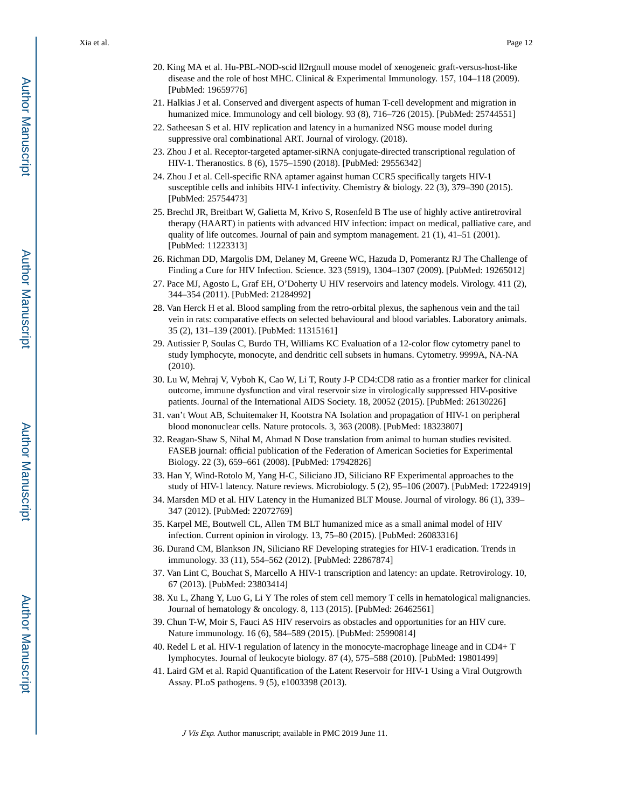- 20. King MA et al. Hu-PBL-NOD-scid ll2rgnull mouse model of xenogeneic graft-versus-host-like disease and the role of host MHC. Clinical & Experimental Immunology. 157, 104–118 (2009). [PubMed: 19659776]
- 21. Halkias J et al. Conserved and divergent aspects of human T-cell development and migration in humanized mice. Immunology and cell biology. 93 (8), 716–726 (2015). [PubMed: 25744551]
- 22. Satheesan S et al. HIV replication and latency in a humanized NSG mouse model during suppressive oral combinational ART. Journal of virology. (2018).
- 23. Zhou J et al. Receptor-targeted aptamer-siRNA conjugate-directed transcriptional regulation of HIV-1. Theranostics. 8 (6), 1575–1590 (2018). [PubMed: 29556342]
- 24. Zhou J et al. Cell-specific RNA aptamer against human CCR5 specifically targets HIV-1 susceptible cells and inhibits HIV-1 infectivity. Chemistry & biology. 22 (3), 379–390 (2015). [PubMed: 25754473]
- 25. Brechtl JR, Breitbart W, Galietta M, Krivo S, Rosenfeld B The use of highly active antiretroviral therapy (HAART) in patients with advanced HIV infection: impact on medical, palliative care, and quality of life outcomes. Journal of pain and symptom management. 21 (1), 41–51 (2001). [PubMed: 11223313]
- 26. Richman DD, Margolis DM, Delaney M, Greene WC, Hazuda D, Pomerantz RJ The Challenge of Finding a Cure for HIV Infection. Science. 323 (5919), 1304–1307 (2009). [PubMed: 19265012]
- 27. Pace MJ, Agosto L, Graf EH, O'Doherty U HIV reservoirs and latency models. Virology. 411 (2), 344–354 (2011). [PubMed: 21284992]
- 28. Van Herck H et al. Blood sampling from the retro-orbital plexus, the saphenous vein and the tail vein in rats: comparative effects on selected behavioural and blood variables. Laboratory animals. 35 (2), 131–139 (2001). [PubMed: 11315161]
- 29. Autissier P, Soulas C, Burdo TH, Williams KC Evaluation of a 12-color flow cytometry panel to study lymphocyte, monocyte, and dendritic cell subsets in humans. Cytometry. 9999A, NA-NA (2010).
- 30. Lu W, Mehraj V, Vyboh K, Cao W, Li T, Routy J-P CD4:CD8 ratio as a frontier marker for clinical outcome, immune dysfunction and viral reservoir size in virologically suppressed HIV-positive patients. Journal of the International AIDS Society. 18, 20052 (2015). [PubMed: 26130226]
- 31. van't Wout AB, Schuitemaker H, Kootstra NA Isolation and propagation of HIV-1 on peripheral blood mononuclear cells. Nature protocols. 3, 363 (2008). [PubMed: 18323807]
- 32. Reagan-Shaw S, Nihal M, Ahmad N Dose translation from animal to human studies revisited. FASEB journal: official publication of the Federation of American Societies for Experimental Biology. 22 (3), 659–661 (2008). [PubMed: 17942826]
- 33. Han Y, Wind-Rotolo M, Yang H-C, Siliciano JD, Siliciano RF Experimental approaches to the study of HIV-1 latency. Nature reviews. Microbiology. 5 (2), 95–106 (2007). [PubMed: 17224919]
- 34. Marsden MD et al. HIV Latency in the Humanized BLT Mouse. Journal of virology. 86 (1), 339– 347 (2012). [PubMed: 22072769]
- 35. Karpel ME, Boutwell CL, Allen TM BLT humanized mice as a small animal model of HIV infection. Current opinion in virology. 13, 75–80 (2015). [PubMed: 26083316]
- 36. Durand CM, Blankson JN, Siliciano RF Developing strategies for HIV-1 eradication. Trends in immunology. 33 (11), 554–562 (2012). [PubMed: 22867874]
- 37. Van Lint C, Bouchat S, Marcello A HIV-1 transcription and latency: an update. Retrovirology. 10, 67 (2013). [PubMed: 23803414]
- 38. Xu L, Zhang Y, Luo G, Li Y The roles of stem cell memory T cells in hematological malignancies. Journal of hematology & oncology. 8, 113 (2015). [PubMed: 26462561]
- 39. Chun T-W, Moir S, Fauci AS HIV reservoirs as obstacles and opportunities for an HIV cure. Nature immunology. 16 (6), 584–589 (2015). [PubMed: 25990814]
- 40. Redel L et al. HIV-1 regulation of latency in the monocyte-macrophage lineage and in CD4+ T lymphocytes. Journal of leukocyte biology. 87 (4), 575–588 (2010). [PubMed: 19801499]
- 41. Laird GM et al. Rapid Quantification of the Latent Reservoir for HIV-1 Using a Viral Outgrowth Assay. PLoS pathogens. 9 (5), e1003398 (2013).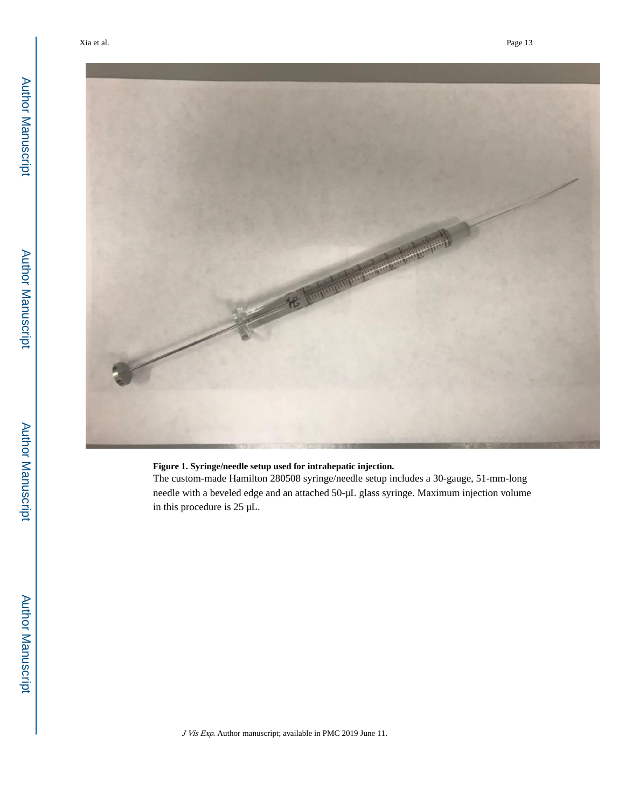

#### **Figure 1. Syringe/needle setup used for intrahepatic injection.**

The custom-made Hamilton 280508 syringe/needle setup includes a 30-gauge, 51-mm-long needle with a beveled edge and an attached 50-μL glass syringe. Maximum injection volume in this procedure is 25 μL.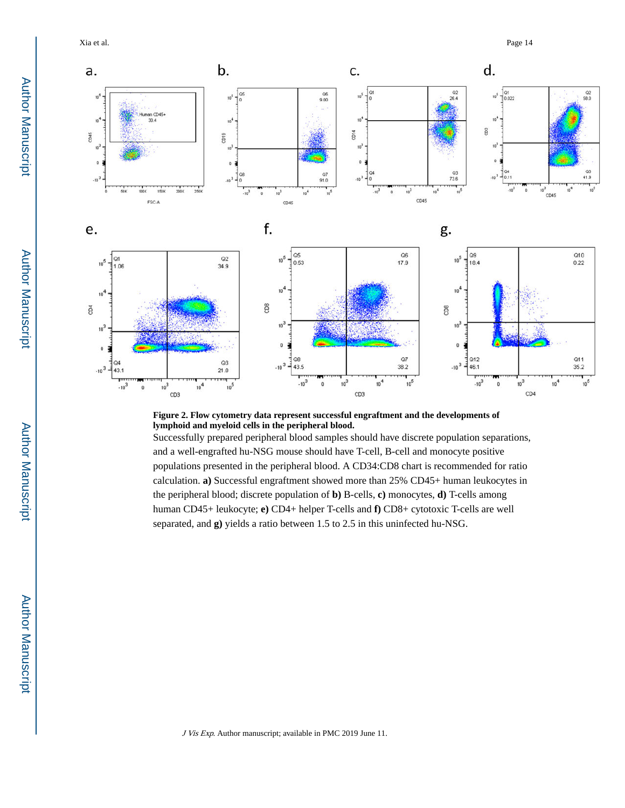Xia et al. Page 14



#### **Figure 2. Flow cytometry data represent successful engraftment and the developments of lymphoid and myeloid cells in the peripheral blood.**

Successfully prepared peripheral blood samples should have discrete population separations, and a well-engrafted hu-NSG mouse should have T-cell, B-cell and monocyte positive populations presented in the peripheral blood. A CD34:CD8 chart is recommended for ratio calculation. **a)** Successful engraftment showed more than 25% CD45+ human leukocytes in the peripheral blood; discrete population of **b)** B-cells, **c)** monocytes, **d)** T-cells among human CD45+ leukocyte; **e)** CD4+ helper T-cells and **f)** CD8+ cytotoxic T-cells are well separated, and **g)** yields a ratio between 1.5 to 2.5 in this uninfected hu-NSG.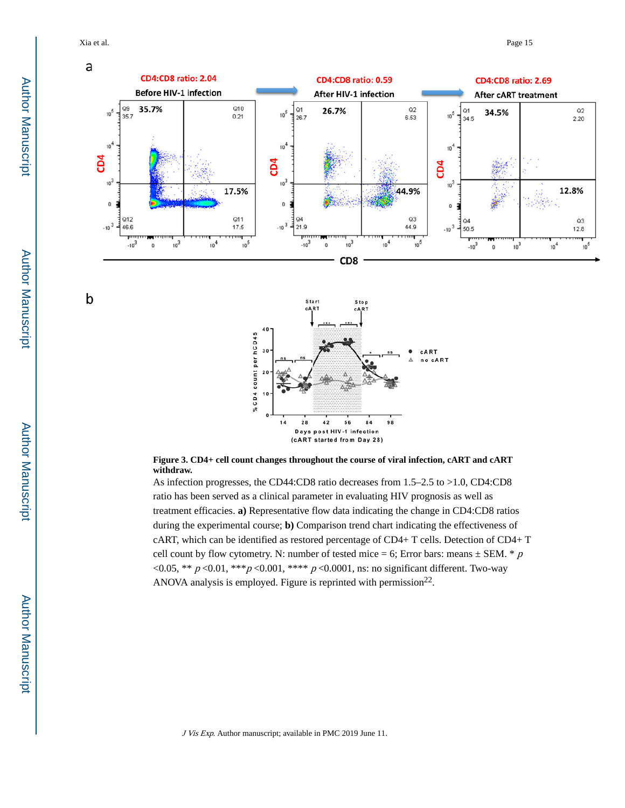Xia et al. Page 15

b







As infection progresses, the CD44:CD8 ratio decreases from 1.5–2.5 to >1.0, CD4:CD8 ratio has been served as a clinical parameter in evaluating HIV prognosis as well as treatment efficacies. **a)** Representative flow data indicating the change in CD4:CD8 ratios during the experimental course; **b)** Comparison trend chart indicating the effectiveness of cART, which can be identified as restored percentage of CD4+ T cells. Detection of CD4+ T cell count by flow cytometry. N: number of tested mice = 6; Error bars: means  $\pm$  SEM. \* p <0.05, \*\*  $p \le 0.01$ , \*\*\* $p \le 0.001$ , \*\*\*\*  $p \le 0.0001$ , ns: no significant different. Two-way ANOVA analysis is employed. Figure is reprinted with permission $^{22}$ .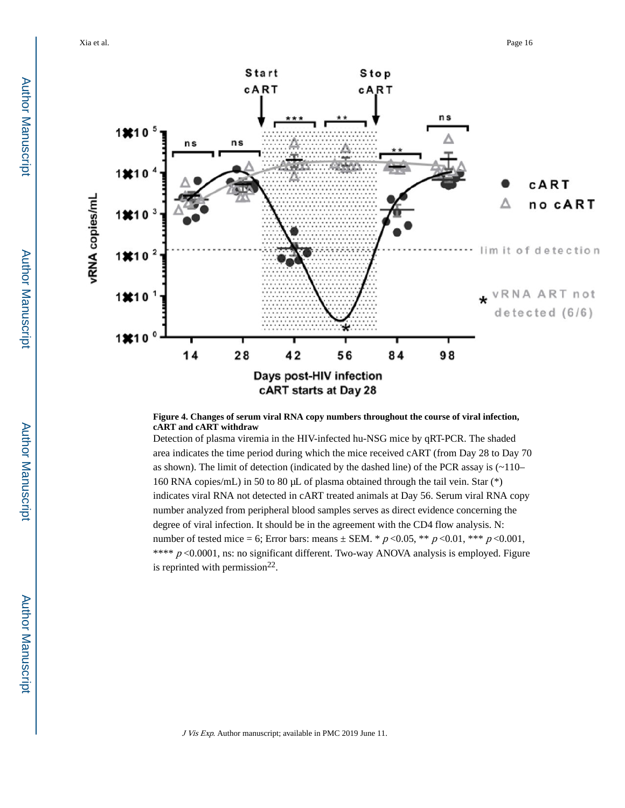

#### **Figure 4. Changes of serum viral RNA copy numbers throughout the course of viral infection, cART and cART withdraw**

Detection of plasma viremia in the HIV-infected hu-NSG mice by qRT-PCR. The shaded area indicates the time period during which the mice received cART (from Day 28 to Day 70 as shown). The limit of detection (indicated by the dashed line) of the PCR assay is  $(\sim 110 -$ 160 RNA copies/mL) in 50 to 80 μL of plasma obtained through the tail vein. Star (\*) indicates viral RNA not detected in cART treated animals at Day 56. Serum viral RNA copy number analyzed from peripheral blood samples serves as direct evidence concerning the degree of viral infection. It should be in the agreement with the CD4 flow analysis. N: number of tested mice = 6; Error bars: means ± SEM. \*  $p < 0.05$ , \*\*  $p < 0.01$ , \*\*\*  $p < 0.001$ , \*\*\*\*  $p$  <0.0001, ns: no significant different. Two-way ANOVA analysis is employed. Figure is reprinted with permission $^{22}$ .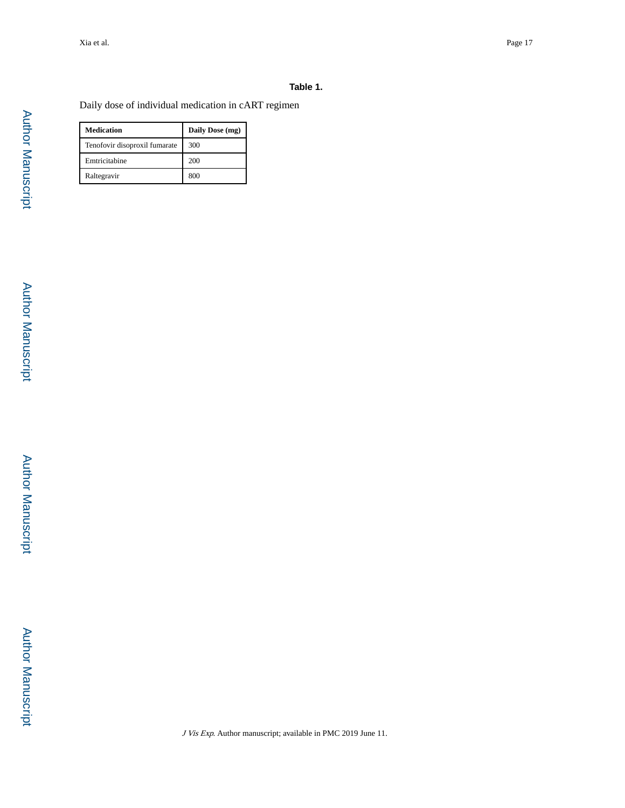#### **Table 1.**

Daily dose of individual medication in cART regimen

| <b>Medication</b>             | Daily Dose (mg) |
|-------------------------------|-----------------|
| Tenofovir disoproxil fumarate | 300             |
| Emtricitabine                 | 200             |
| Raltegravir                   | 800             |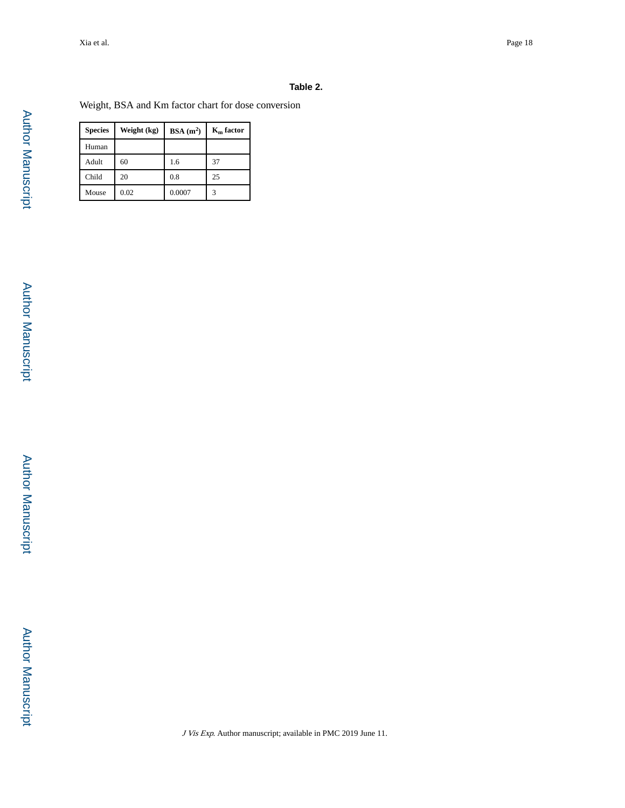#### **Table 2.**

Weight, BSA and Km factor chart for dose conversion

| <b>Species</b> | Weight (kg) | BSA(m <sup>2</sup> ) | $K_{m}$ factor |
|----------------|-------------|----------------------|----------------|
| Human          |             |                      |                |
| Adult          | 60          | 1.6                  | 37             |
| Child          | 20          | 0.8                  | 25             |
| Mouse          | 0.02        | 0.0007               | 3              |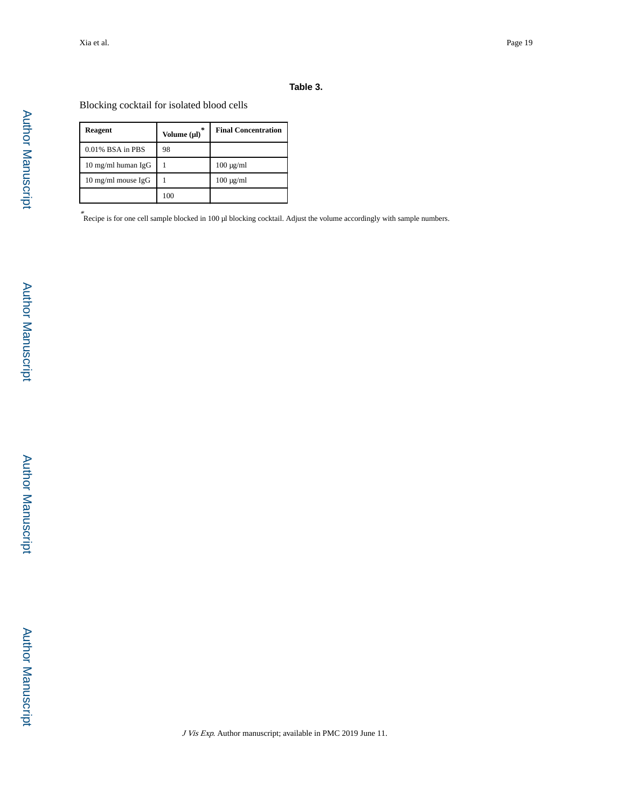#### **Table 3.**

Blocking cocktail for isolated blood cells

| <b>Reagent</b>               | *<br>Volume (µl) | <b>Final Concentration</b> |
|------------------------------|------------------|----------------------------|
| 0.01% BSA in PBS             | 98               |                            |
| $10 \text{ mg/ml human IgG}$ |                  | $100 \mu g/ml$             |
| $10 \text{ mg/ml}$ mouse IgG |                  | $100 \mu g/ml$             |
|                              | 100              |                            |

\* Recipe is for one cell sample blocked in 100 μl blocking cocktail. Adjust the volume accordingly with sample numbers.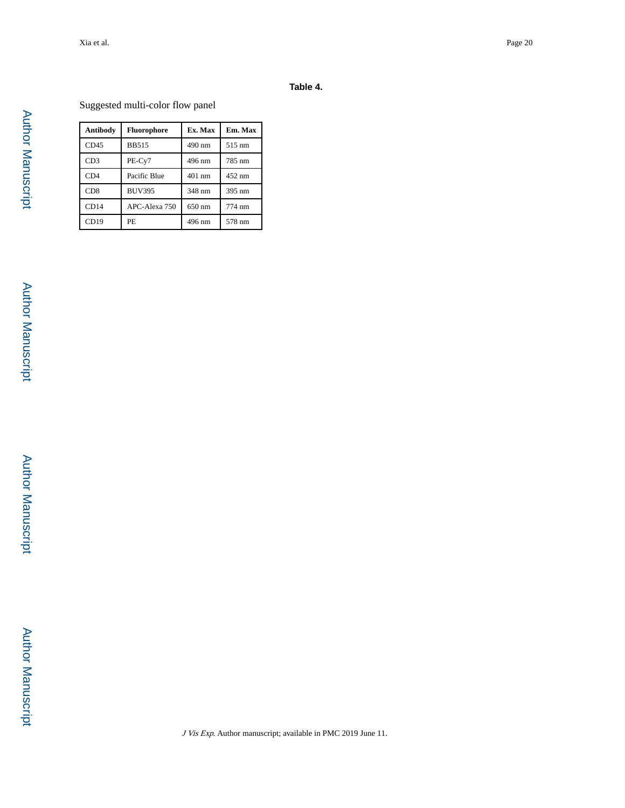#### **Table 4.**

## Suggested multi-color flow panel

| Antibody         | <b>Fluorophore</b> | Ex. Max | Em. Max |
|------------------|--------------------|---------|---------|
| CD45             | <b>BB515</b>       | 490 nm  | 515 nm  |
| CD3              | PE-Cy7             | 496 nm  | 785 nm  |
| CD4              | Pacific Blue       | 401 nm  | 452 nm  |
| C <sub>D</sub> 8 | <b>BUV395</b>      | 348 nm  | 395 nm  |
| CD14             | APC-Alexa 750      | 650 nm  | 774 nm  |
| CD19             | PE                 | 496 nm  | 578 nm  |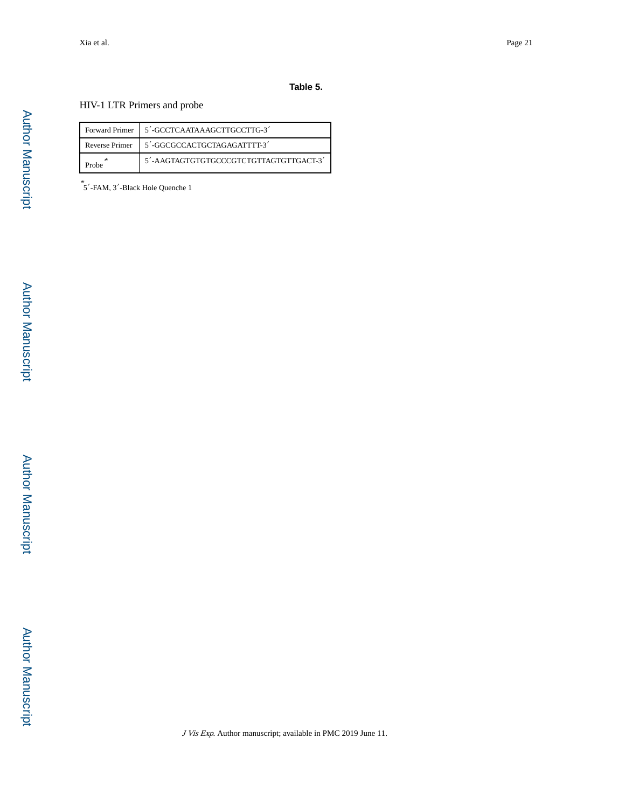#### **Table 5.**

#### HIV-1 LTR Primers and probe

|  | Forward Primer   5'-GCCTCAATAAAGCTTGCCTTG-3'         |
|--|------------------------------------------------------|
|  | Reverse Primer   5'-GGCGCCACTGCTAGAGATTTT-3'         |
|  | $5'$ -AAGTAGTGTGTGCCCGTCTGTTAGTGTTGACT-3 $^{\prime}$ |

\* 5′-FAM, 3′-Black Hole Quenche 1